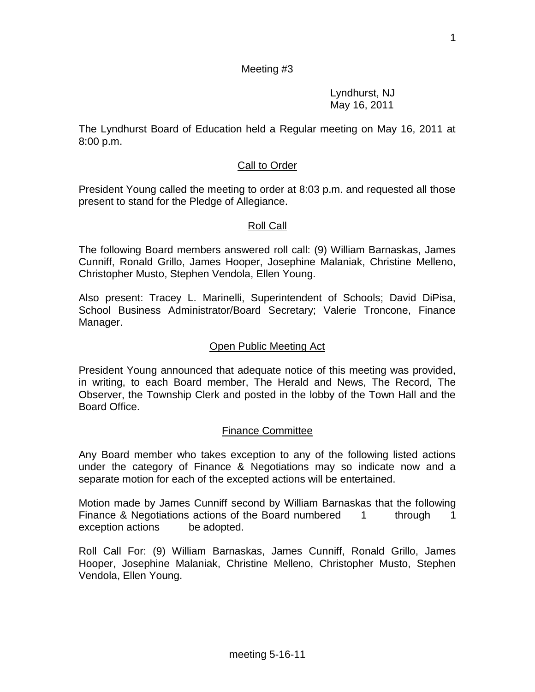#### Meeting #3

Lyndhurst, NJ May 16, 2011

The Lyndhurst Board of Education held a Regular meeting on May 16, 2011 at 8:00 p.m.

### Call to Order

President Young called the meeting to order at 8:03 p.m. and requested all those present to stand for the Pledge of Allegiance.

#### Roll Call

The following Board members answered roll call: (9) William Barnaskas, James Cunniff, Ronald Grillo, James Hooper, Josephine Malaniak, Christine Melleno, Christopher Musto, Stephen Vendola, Ellen Young.

Also present: Tracey L. Marinelli, Superintendent of Schools; David DiPisa, School Business Administrator/Board Secretary; Valerie Troncone, Finance Manager.

#### Open Public Meeting Act

President Young announced that adequate notice of this meeting was provided, in writing, to each Board member, The Herald and News, The Record, The Observer, the Township Clerk and posted in the lobby of the Town Hall and the Board Office.

#### Finance Committee

Any Board member who takes exception to any of the following listed actions under the category of Finance & Negotiations may so indicate now and a separate motion for each of the excepted actions will be entertained.

Motion made by James Cunniff second by William Barnaskas that the following Finance & Negotiations actions of the Board numbered 1 through 1 exception actions be adopted.

Roll Call For: (9) William Barnaskas, James Cunniff, Ronald Grillo, James Hooper, Josephine Malaniak, Christine Melleno, Christopher Musto, Stephen Vendola, Ellen Young.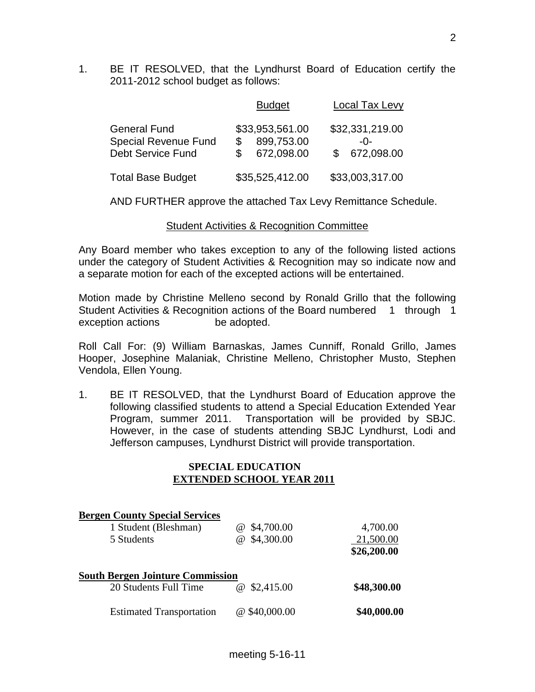1. BE IT RESOLVED, that the Lyndhurst Board of Education certify the 2011-2012 school budget as follows:

|                             | <b>Budget</b>    | <b>Local Tax Levy</b> |
|-----------------------------|------------------|-----------------------|
| <b>General Fund</b>         | \$33,953,561.00  | \$32,331,219.00       |
| <b>Special Revenue Fund</b> | 899,753.00       | -በ-                   |
| <b>Debt Service Fund</b>    | 672,098.00<br>S. | \$ 672,098.00         |
| <b>Total Base Budget</b>    | \$35,525,412.00  | \$33,003,317.00       |

AND FURTHER approve the attached Tax Levy Remittance Schedule.

### Student Activities & Recognition Committee

Any Board member who takes exception to any of the following listed actions under the category of Student Activities & Recognition may so indicate now and a separate motion for each of the excepted actions will be entertained.

Motion made by Christine Melleno second by Ronald Grillo that the following Student Activities & Recognition actions of the Board numbered 1 through 1 exception actions be adopted.

Roll Call For: (9) William Barnaskas, James Cunniff, Ronald Grillo, James Hooper, Josephine Malaniak, Christine Melleno, Christopher Musto, Stephen Vendola, Ellen Young.

1. BE IT RESOLVED, that the Lyndhurst Board of Education approve the following classified students to attend a Special Education Extended Year Program, summer 2011. Transportation will be provided by SBJC. However, in the case of students attending SBJC Lyndhurst, Lodi and Jefferson campuses, Lyndhurst District will provide transportation.

### **SPECIAL EDUCATION EXTENDED SCHOOL YEAR 2011**

| <b>Bergen County Special Services</b>   |                        |             |
|-----------------------------------------|------------------------|-------------|
| 1 Student (Bleshman)                    | \$4,700.00<br>$\omega$ | 4,700.00    |
| 5 Students                              | \$4,300.00<br>(a)      | 21,500.00   |
|                                         |                        | \$26,200.00 |
| <b>South Bergen Jointure Commission</b> |                        |             |
| 20 Students Full Time                   | \$2,415.00<br>(a)      | \$48,300.00 |
| <b>Estimated Transportation</b>         | $@$ \$40,000.00        | \$40,000.00 |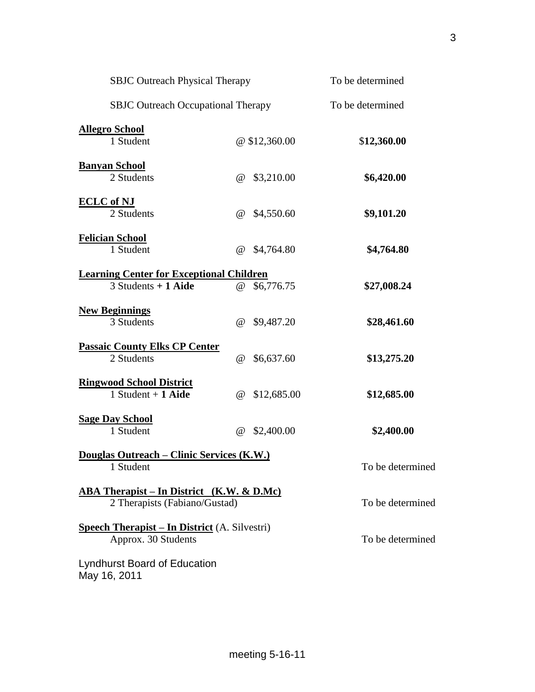| <b>SBJC Outreach Physical Therapy</b>                                              |                                     | To be determined |
|------------------------------------------------------------------------------------|-------------------------------------|------------------|
| <b>SBJC Outreach Occupational Therapy</b>                                          |                                     | To be determined |
| <b>Allegro School</b><br>1 Student                                                 | @ \$12,360.00                       | \$12,360.00      |
| <b>Banyan School</b><br>2 Students                                                 | \$3,210.00<br>$\omega$              | \$6,420.00       |
| <b>ECLC</b> of NJ<br>2 Students                                                    | \$4,550.60<br>$^{\omega}$           | \$9,101.20       |
| <b>Felician School</b><br>1 Student                                                | \$4,764.80<br>$^{\omega}$           | \$4,764.80       |
| <b>Learning Center for Exceptional Children</b><br>$3$ Students + 1 Aide           | \$6,776.75<br>$^{\textregistered}$  | \$27,008.24      |
| <b>New Beginnings</b><br>3 Students                                                | \$9,487.20<br>$\omega$              | \$28,461.60      |
| <b>Passaic County Elks CP Center</b><br>2 Students                                 | \$6,637.60<br>$\omega$              | \$13,275.20      |
| <b>Ringwood School District</b><br>1 Student $+$ 1 Aide                            | \$12,685.00<br>$^{\textregistered}$ | \$12,685.00      |
| <b>Sage Day School</b><br>1 Student                                                | \$2,400.00<br>$\omega$              | \$2,400.00       |
| Douglas Outreach - Clinic Services (K.W.)<br>1 Student                             |                                     | To be determined |
| <b>ABA Therapist – In District</b> (K.W. & D.Mc)<br>2 Therapists (Fabiano/Gustad)  |                                     | To be determined |
| <b><u>Speech Therapist – In District</u></b> (A. Silvestri)<br>Approx. 30 Students |                                     | To be determined |
| <b>Lyndhurst Board of Education</b><br>May 16, 2011                                |                                     |                  |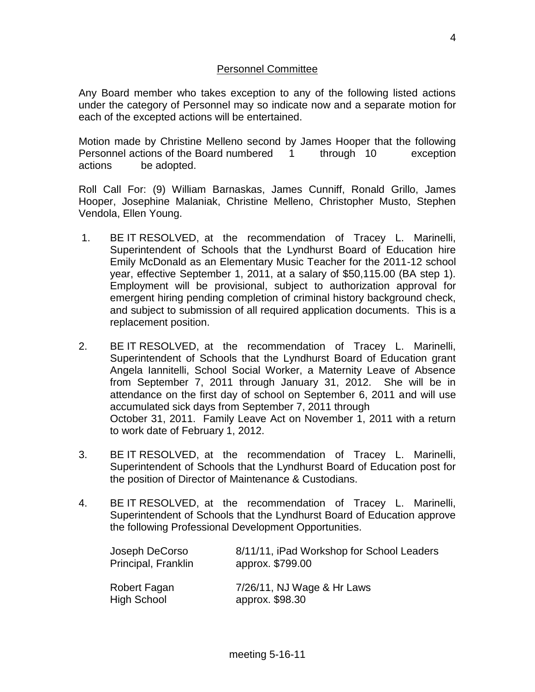# Personnel Committee

Any Board member who takes exception to any of the following listed actions under the category of Personnel may so indicate now and a separate motion for each of the excepted actions will be entertained.

Motion made by Christine Melleno second by James Hooper that the following Personnel actions of the Board numbered 1 through 10 exception actions be adopted.

Roll Call For: (9) William Barnaskas, James Cunniff, Ronald Grillo, James Hooper, Josephine Malaniak, Christine Melleno, Christopher Musto, Stephen Vendola, Ellen Young.

- 1. BE IT RESOLVED, at the recommendation of Tracey L. Marinelli, Superintendent of Schools that the Lyndhurst Board of Education hire Emily McDonald as an Elementary Music Teacher for the 2011-12 school year, effective September 1, 2011, at a salary of \$50,115.00 (BA step 1). Employment will be provisional, subject to authorization approval for emergent hiring pending completion of criminal history background check, and subject to submission of all required application documents. This is a replacement position.
- 2. BE IT RESOLVED, at the recommendation of Tracey L. Marinelli, Superintendent of Schools that the Lyndhurst Board of Education grant Angela Iannitelli, School Social Worker, a Maternity Leave of Absence from September 7, 2011 through January 31, 2012. She will be in attendance on the first day of school on September 6, 2011 and will use accumulated sick days from September 7, 2011 through October 31, 2011. Family Leave Act on November 1, 2011 with a return to work date of February 1, 2012.
- 3. BE IT RESOLVED, at the recommendation of Tracey L. Marinelli, Superintendent of Schools that the Lyndhurst Board of Education post for the position of Director of Maintenance & Custodians.
- 4. BE IT RESOLVED, at the recommendation of Tracey L. Marinelli, Superintendent of Schools that the Lyndhurst Board of Education approve the following Professional Development Opportunities.

| Joseph DeCorso      | 8/11/11, iPad Workshop for School Leaders |
|---------------------|-------------------------------------------|
| Principal, Franklin | approx. \$799.00                          |
| Robert Fagan        | 7/26/11, NJ Wage & Hr Laws                |
| <b>High School</b>  | approx. \$98.30                           |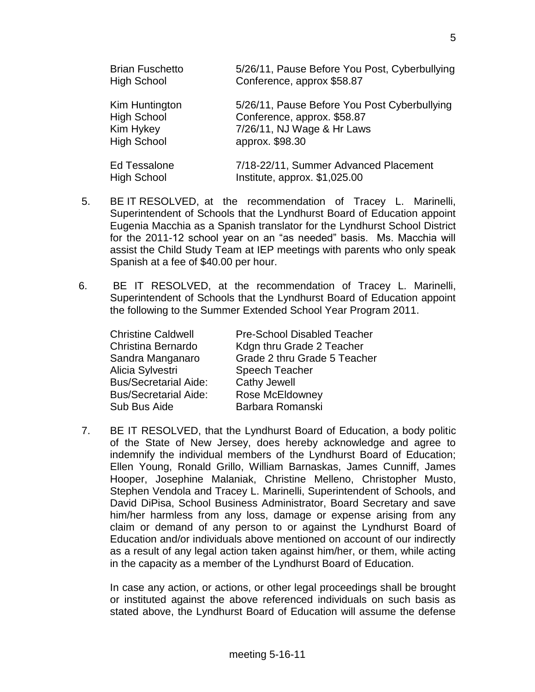| <b>Brian Fuschetto</b> | 5/26/11, Pause Before You Post, Cyberbullying |
|------------------------|-----------------------------------------------|
| <b>High School</b>     | Conference, approx \$58.87                    |
| Kim Huntington         | 5/26/11, Pause Before You Post Cyberbullying  |
| <b>High School</b>     | Conference, approx. \$58.87                   |
| Kim Hykey              | 7/26/11, NJ Wage & Hr Laws                    |
| <b>High School</b>     | approx. \$98.30                               |
| <b>Ed Tessalone</b>    | 7/18-22/11, Summer Advanced Placement         |
| <b>High School</b>     | Institute, approx. \$1,025.00                 |

- 5. BE IT RESOLVED, at the recommendation of Tracey L. Marinelli, Superintendent of Schools that the Lyndhurst Board of Education appoint Eugenia Macchia as a Spanish translator for the Lyndhurst School District for the 2011-12 school year on an "as needed" basis. Ms. Macchia will assist the Child Study Team at IEP meetings with parents who only speak Spanish at a fee of \$40.00 per hour.
- 6. BE IT RESOLVED, at the recommendation of Tracey L. Marinelli, Superintendent of Schools that the Lyndhurst Board of Education appoint the following to the Summer Extended School Year Program 2011.

| <b>Christine Caldwell</b>    | <b>Pre-School Disabled Teacher</b> |
|------------------------------|------------------------------------|
| Christina Bernardo           | Kdgn thru Grade 2 Teacher          |
| Sandra Manganaro             | Grade 2 thru Grade 5 Teacher       |
| Alicia Sylvestri             | Speech Teacher                     |
| <b>Bus/Secretarial Aide:</b> | <b>Cathy Jewell</b>                |
| <b>Bus/Secretarial Aide:</b> | Rose McEldowney                    |
| Sub Bus Aide                 | Barbara Romanski                   |

7. BE IT RESOLVED, that the Lyndhurst Board of Education, a body politic of the State of New Jersey, does hereby acknowledge and agree to indemnify the individual members of the Lyndhurst Board of Education; Ellen Young, Ronald Grillo, William Barnaskas, James Cunniff, James Hooper, Josephine Malaniak, Christine Melleno, Christopher Musto, Stephen Vendola and Tracey L. Marinelli, Superintendent of Schools, and David DiPisa, School Business Administrator, Board Secretary and save him/her harmless from any loss, damage or expense arising from any claim or demand of any person to or against the Lyndhurst Board of Education and/or individuals above mentioned on account of our indirectly as a result of any legal action taken against him/her, or them, while acting in the capacity as a member of the Lyndhurst Board of Education.

In case any action, or actions, or other legal proceedings shall be brought or instituted against the above referenced individuals on such basis as stated above, the Lyndhurst Board of Education will assume the defense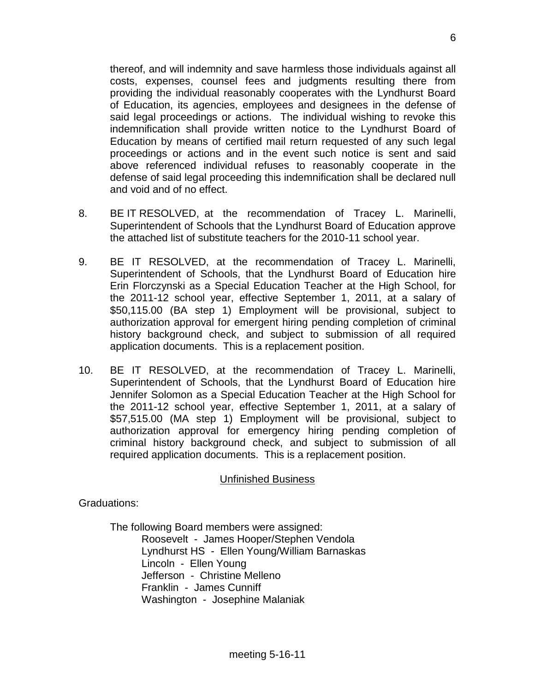thereof, and will indemnity and save harmless those individuals against all costs, expenses, counsel fees and judgments resulting there from providing the individual reasonably cooperates with the Lyndhurst Board of Education, its agencies, employees and designees in the defense of said legal proceedings or actions. The individual wishing to revoke this indemnification shall provide written notice to the Lyndhurst Board of Education by means of certified mail return requested of any such legal proceedings or actions and in the event such notice is sent and said above referenced individual refuses to reasonably cooperate in the defense of said legal proceeding this indemnification shall be declared null and void and of no effect.

- 8. BE IT RESOLVED, at the recommendation of Tracey L. Marinelli, Superintendent of Schools that the Lyndhurst Board of Education approve the attached list of substitute teachers for the 2010-11 school year.
- 9. BE IT RESOLVED, at the recommendation of Tracey L. Marinelli, Superintendent of Schools, that the Lyndhurst Board of Education hire Erin Florczynski as a Special Education Teacher at the High School, for the 2011-12 school year, effective September 1, 2011, at a salary of \$50,115.00 (BA step 1) Employment will be provisional, subject to authorization approval for emergent hiring pending completion of criminal history background check, and subject to submission of all required application documents. This is a replacement position.
- 10. BE IT RESOLVED, at the recommendation of Tracey L. Marinelli, Superintendent of Schools, that the Lyndhurst Board of Education hire Jennifer Solomon as a Special Education Teacher at the High School for the 2011-12 school year, effective September 1, 2011, at a salary of \$57,515.00 (MA step 1) Employment will be provisional, subject to authorization approval for emergency hiring pending completion of criminal history background check, and subject to submission of all required application documents. This is a replacement position.

# Unfinished Business

Graduations:

The following Board members were assigned: Roosevelt - James Hooper/Stephen Vendola Lyndhurst HS - Ellen Young/William Barnaskas Lincoln - Ellen Young Jefferson - Christine Melleno Franklin - James Cunniff Washington - Josephine Malaniak